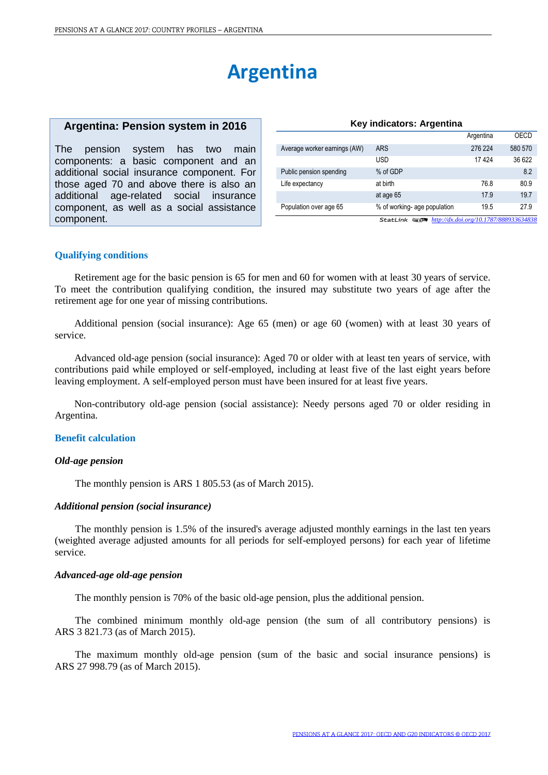# **Argentina**

# **Argentina: Pension system in 2016**

The pension system has two main components: a basic component and an additional social insurance component. For those aged 70 and above there is also an additional age-related social insurance component, as well as a social assistance component.

|                              |                              | Argentina | OECD    |
|------------------------------|------------------------------|-----------|---------|
| Average worker earnings (AW) | <b>ARS</b>                   | 276 224   | 580 570 |
|                              | <b>USD</b>                   | 17424     | 36 622  |
| Public pension spending      | % of GDP                     |           | 8.2     |
| Life expectancy              | at birth                     | 76.8      | 80.9    |
|                              | at age 65                    | 17.9      | 19.7    |
| Population over age 65       | % of working- age population | 19.5      | 27.9    |

**Key indicators: Argentina**

1 2 *<http://dx.doi.org/10.1787/888933634838>*

# **Qualifying conditions**

Retirement age for the basic pension is 65 for men and 60 for women with at least 30 years of service. To meet the contribution qualifying condition, the insured may substitute two years of age after the retirement age for one year of missing contributions.

Additional pension (social insurance): Age 65 (men) or age 60 (women) with at least 30 years of service.

Advanced old-age pension (social insurance): Aged 70 or older with at least ten years of service, with contributions paid while employed or self-employed, including at least five of the last eight years before leaving employment. A self-employed person must have been insured for at least five years.

Non-contributory old-age pension (social assistance): Needy persons aged 70 or older residing in Argentina.

# **Benefit calculation**

#### *Old-age pension*

The monthly pension is ARS 1 805.53 (as of March 2015).

# *Additional pension (social insurance)*

The monthly pension is 1.5% of the insured's average adjusted monthly earnings in the last ten years (weighted average adjusted amounts for all periods for self-employed persons) for each year of lifetime service.

### *Advanced-age old-age pension*

The monthly pension is 70% of the basic old-age pension, plus the additional pension.

The combined minimum monthly old-age pension (the sum of all contributory pensions) is ARS 3 821.73 (as of March 2015).

The maximum monthly old-age pension (sum of the basic and social insurance pensions) is ARS 27 998.79 (as of March 2015).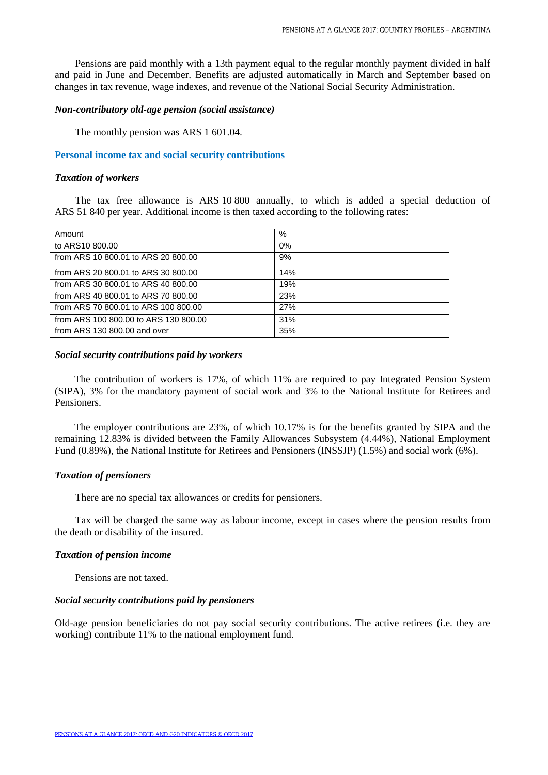Pensions are paid monthly with a 13th payment equal to the regular monthly payment divided in half and paid in June and December. Benefits are adjusted automatically in March and September based on changes in tax revenue, wage indexes, and revenue of the National Social Security Administration.

# *Non-contributory old-age pension (social assistance)*

The monthly pension was ARS 1 601.04.

# **Personal income tax and social security contributions**

### *Taxation of workers*

The tax free allowance is ARS 10 800 annually, to which is added a special deduction of ARS 51 840 per year. Additional income is then taxed according to the following rates:

| Amount                                | %   |
|---------------------------------------|-----|
| to ARS10 800.00                       | 0%  |
| from ARS 10 800.01 to ARS 20 800.00   | 9%  |
| from ARS 20 800.01 to ARS 30 800.00   | 14% |
| from ARS 30 800.01 to ARS 40 800.00   | 19% |
| from ARS 40 800.01 to ARS 70 800.00   | 23% |
| from ARS 70 800.01 to ARS 100 800.00  | 27% |
| from ARS 100 800.00 to ARS 130 800.00 | 31% |
| from ARS 130 800.00 and over          | 35% |

## *Social security contributions paid by workers*

The contribution of workers is 17%, of which 11% are required to pay Integrated Pension System (SIPA), 3% for the mandatory payment of social work and 3% to the National Institute for Retirees and Pensioners.

The employer contributions are 23%, of which 10.17% is for the benefits granted by SIPA and the remaining 12.83% is divided between the Family Allowances Subsystem (4.44%), National Employment Fund (0.89%), the National Institute for Retirees and Pensioners (INSSJP) (1.5%) and social work (6%).

# *Taxation of pensioners*

There are no special tax allowances or credits for pensioners.

Tax will be charged the same way as labour income, except in cases where the pension results from the death or disability of the insured.

#### *Taxation of pension income*

Pensions are not taxed.

# *Social security contributions paid by pensioners*

Old-age pension beneficiaries do not pay social security contributions. The active retirees (i.e. they are working) contribute 11% to the national employment fund.